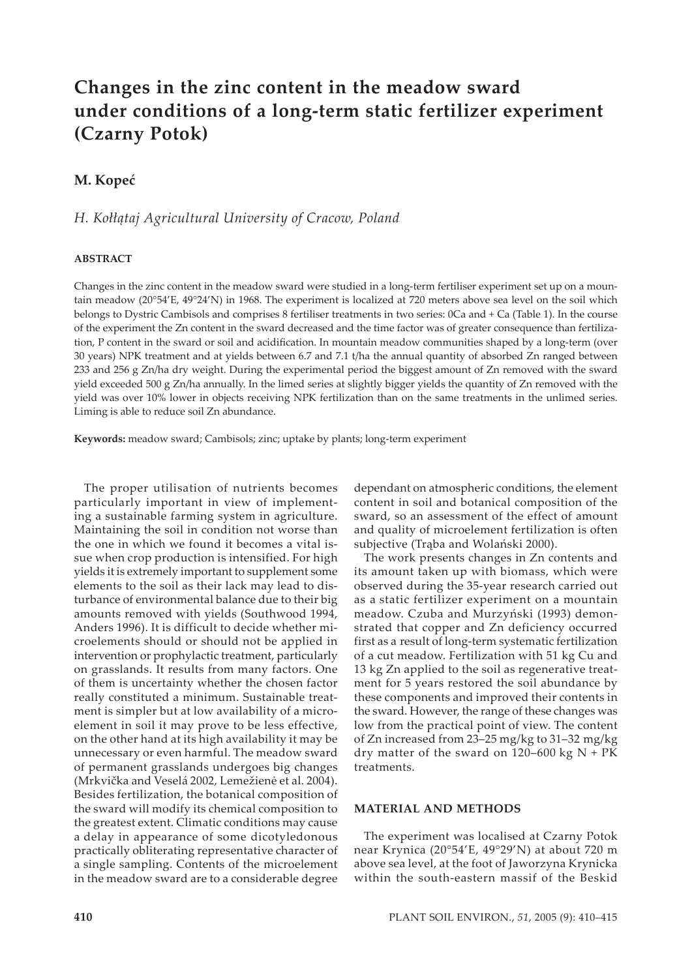# **Changes in the zinc content in the meadow sward under conditions of a long-term static fertilizer experiment (Czarny Potok)**

# **M. Kopeć**

## *H. Kołłątaj Agricultural University of Cracow, Poland*

### **ABSTRACT**

Changes in the zinc content in the meadow sward were studied in a long-term fertiliser experiment set up on a mountain meadow (20°54'E, 49°24'N) in 1968. The experiment is localized at 720 meters above sea level on the soil which belongs to Dystric Cambisols and comprises 8 fertiliser treatments in two series: 0Ca and + Ca (Table 1). In the course of the experiment the Zn content in the sward decreased and the time factor was of greater consequence than fertilization, P content in the sward or soil and acidification. In mountain meadow communities shaped by a long-term (over 30 years) NPK treatment and at yields between 6.7 and 7.1 t/ha the annual quantity of absorbed Zn ranged between 233 and 256 g Zn/ha dry weight. During the experimental period the biggest amount of Zn removed with the sward yield exceeded 500 g Zn/ha annually. In the limed series at slightly bigger yields the quantity of Zn removed with the yield was over 10% lower in objects receiving NPK fertilization than on the same treatments in the unlimed series. Liming is able to reduce soil Zn abundance.

**Keywords:** meadow sward; Cambisols; zinc; uptake by plants; long-term experiment

The proper utilisation of nutrients becomes particularly important in view of implementing a sustainable farming system in agriculture. Maintaining the soil in condition not worse than the one in which we found it becomes a vital issue when crop production is intensified. For high yields it is extremely important to supplement some elements to the soil as their lack may lead to disturbance of environmental balance due to their big amounts removed with yields (Southwood 1994, Anders 1996). It is difficult to decide whether microelements should or should not be applied in intervention or prophylactic treatment, particularly on grasslands. It results from many factors. One of them is uncertainty whether the chosen factor really constituted a minimum. Sustainable treatment is simpler but at low availability of a microelement in soil it may prove to be less effective, on the other hand at its high availability it may be unnecessary or even harmful. The meadow sward of permanent grasslands undergoes big changes (Mrkvička and Veselá 2002, Lemežienė et al. 2004). Besides fertilization, the botanical composition of the sward will modify its chemical composition to the greatest extent. Climatic conditions may cause a delay in appearance of some dicotyledonous practically obliterating representative character of a single sampling. Contents of the microelement in the meadow sward are to a considerable degree

dependant on atmospheric conditions, the element content in soil and botanical composition of the sward, so an assessment of the effect of amount and quality of microelement fertilization is often subjective (Trąba and Wolański 2000).

The work presents changes in Zn contents and its amount taken up with biomass, which were observed during the 35-year research carried out as a static fertilizer experiment on a mountain meadow. Czuba and Murzyński (1993) demonstrated that copper and Zn deficiency occurred first as a result of long-term systematic fertilization of a cut meadow. Fertilization with 51 kg Cu and 13 kg Zn applied to the soil as regenerative treatment for 5 years restored the soil abundance by these components and improved their contents in the sward. However, the range of these changes was low from the practical point of view. The content of Zn increased from 23–25 mg/kg to 31–32 mg/kg dry matter of the sward on  $120-600$  kg N + PK treatments.

### **MATERIAL AND METHODS**

The experiment was localised at Czarny Potok near Krynica (20°54'E, 49°29'N) at about 720 m above sea level, at the foot of Jaworzyna Krynicka within the south-eastern massif of the Beskid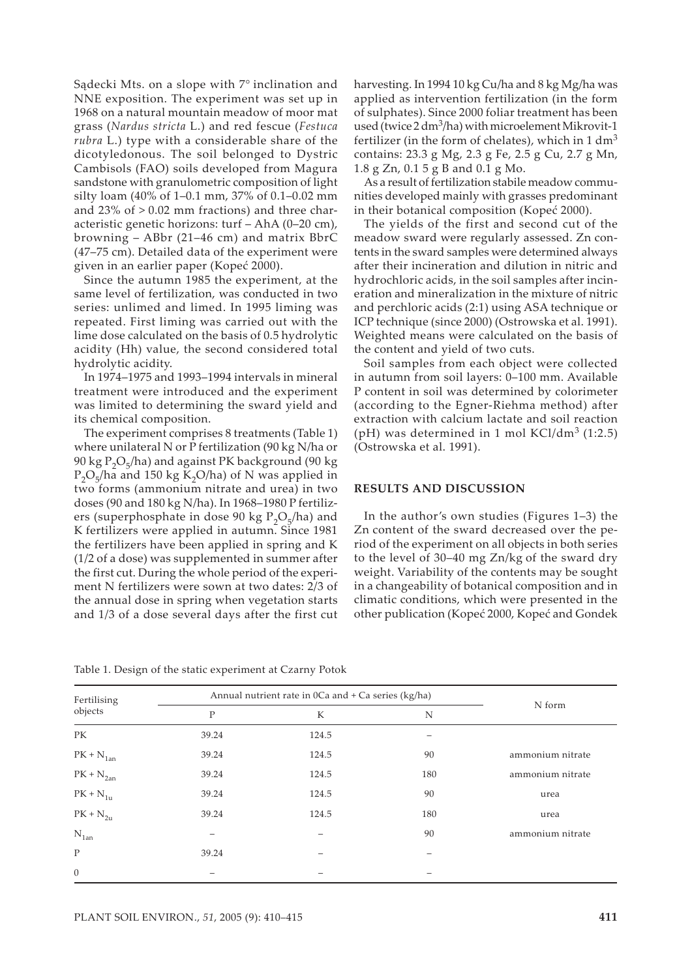Sądecki Mts. on a slope with 7° inclination and NNE exposition. The experiment was set up in 1968 on a natural mountain meadow of moor mat grass (*Nardus stricta* L.) and red fescue (*Festuca rubra* L.) type with a considerable share of the dicotyledonous. The soil belonged to Dystric Cambisols (FAO) soils developed from Magura sandstone with granulometric composition of light silty loam (40% of 1–0.1 mm, 37% of 0.1–0.02 mm and  $23\%$  of  $> 0.02$  mm fractions) and three characteristic genetic horizons: turf – AhA (0–20 cm), browning – ABbr (21–46 cm) and matrix BbrC (47–75 cm). Detailed data of the experiment were given in an earlier paper (Kopeć 2000).

Since the autumn 1985 the experiment, at the same level of fertilization, was conducted in two series: unlimed and limed. In 1995 liming was repeated. First liming was carried out with the lime dose calculated on the basis of 0.5 hydrolytic acidity (Hh) value, the second considered total hydrolytic acidity.

In 1974–1975 and 1993–1994 intervals in mineral treatment were introduced and the experiment was limited to determining the sward yield and its chemical composition.

The experiment comprises 8 treatments (Table 1) where unilateral N or P fertilization (90 kg N/ha or 90 kg  $P_2O_5/ha$ ) and against PK background (90 kg)  $P_2O_5/h$ a and 150 kg K<sub>2</sub>O/ha) of N was applied in two forms (ammonium nitrate and urea) in two doses (90 and 180 kg N/ha). In 1968–1980 P fertilizers (superphosphate in dose 90 kg  $P_2O_5/ha$ ) and K fertilizers were applied in autumn. Since 1981 the fertilizers have been applied in spring and K (1/2 of a dose) was supplemented in summer after the first cut. During the whole period of the experiment N fertilizers were sown at two dates: 2/3 of the annual dose in spring when vegetation starts and 1/3 of a dose several days after the first cut

Table 1. Design of the static experiment at Czarny Potok

| harvesting. In 1994 10 kg Cu/ha and 8 kg Mg/ha was               |
|------------------------------------------------------------------|
| applied as intervention fertilization (in the form               |
| of sulphates). Since 2000 foliar treatment has been              |
| used (twice $2 \, \text{dm}^3$ /ha) with microelement Mikrovit-1 |
| fertilizer (in the form of chelates), which in $1 \text{ dm}^3$  |
| contains: 23.3 g Mg, 2.3 g Fe, 2.5 g Cu, 2.7 g Mn,               |
| 1.8 g Zn, 0.1 5 g B and 0.1 g Mo.                                |

As a result of fertilization stabile meadow communities developed mainly with grasses predominant in their botanical composition (Kopeć 2000).

The yields of the first and second cut of the meadow sward were regularly assessed. Zn contents in the sward samples were determined always after their incineration and dilution in nitric and hydrochloric acids, in the soil samples after incineration and mineralization in the mixture of nitric and perchloric acids (2:1) using ASA technique or ICP technique (since 2000) (Ostrowska et al. 1991). Weighted means were calculated on the basis of the content and yield of two cuts.

Soil samples from each object were collected in autumn from soil layers: 0–100 mm. Available P content in soil was determined by colorimeter (according to the Egner-Riehma method) after extraction with calcium lactate and soil reaction (pH) was determined in 1 mol  $KCl/dm^3$  (1:2.5) (Ostrowska et al. 1991).

#### **RESULTS AND DISCUSSION**

In the author's own studies (Figures 1–3) the Zn content of the sward decreased over the period of the experiment on all objects in both series to the level of 30–40 mg Zn/kg of the sward dry weight. Variability of the contents may be sought in a changeability of botanical composition and in climatic conditions, which were presented in the other publication (Kopeć 2000, Kopeć and Gondek

| Fertilising<br>objects | Annual nutrient rate in 0Ca and + Ca series (kg/ha) |       |     |                  |
|------------------------|-----------------------------------------------------|-------|-----|------------------|
|                        | P                                                   | K     | N   | N form           |
| PK                     | 39.24                                               | 124.5 |     |                  |
| $PK + N_{1an}$         | 39.24                                               | 124.5 | 90  | ammonium nitrate |
| $PK + N_{2an}$         | 39.24                                               | 124.5 | 180 | ammonium nitrate |
| $PK + N_{1u}$          | 39.24                                               | 124.5 | 90  | urea             |
| $PK + N_{2u}$          | 39.24                                               | 124.5 | 180 | urea             |
| $N_{1an}$              | -                                                   |       | 90  | ammonium nitrate |
| $\mathbf{P}$           | 39.24                                               |       |     |                  |
| $\mathbf{0}$           |                                                     |       |     |                  |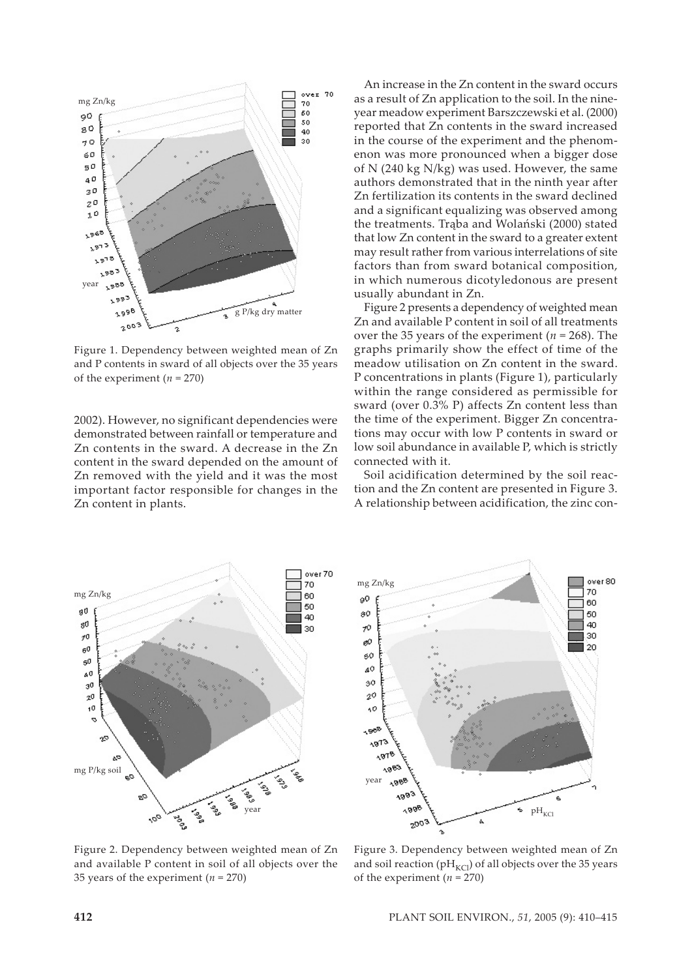

Figure 1. Dependency between weighted mean of Zn and P contents in sward of all objects over the 35 years of the experiment  $(n = 270)$ 

2002). However, no significant dependencies were demonstrated between rainfall or temperature and Zn contents in the sward. A decrease in the Zn content in the sward depended on the amount of Zn removed with the yield and it was the most important factor responsible for changes in the Zn content in plants.

An increase in the Zn content in the sward occurs as a result of Zn application to the soil. In the nineyear meadow experiment Barszczewski et al. (2000) reported that Zn contents in the sward increased in the course of the experiment and the phenomenon was more pronounced when a bigger dose of N (240 kg N/kg) was used. However, the same authors demonstrated that in the ninth year after Zn fertilization its contents in the sward declined and a significant equalizing was observed among the treatments. Trąba and Wolański (2000) stated that low Zn content in the sward to a greater extent may result rather from various interrelations of site factors than from sward botanical composition, in which numerous dicotyledonous are present usually abundant in Zn.

Figure 2 presents a dependency of weighted mean Zn and available P content in soil of all treatments over the 35 years of the experiment ( $n = 268$ ). The graphs primarily show the effect of time of the meadow utilisation on Zn content in the sward. P concentrations in plants (Figure 1), particularly within the range considered as permissible for sward (over 0.3% P) affects Zn content less than the time of the experiment. Bigger Zn concentrations may occur with low P contents in sward or low soil abundance in available P, which is strictly connected with it.

Soil acidification determined by the soil reaction and the Zn content are presented in Figure 3. A relationship between acidification, the zinc con-



over 80 mg Zn/kg 70 90 60 80 50  $40^{\circ}$  $\mathcal{P}^{\bullet}$ 30 øО  $20$ 60  $40$  $40$  $2^{\circ}$ 60  $4500$ د<sub>07</sub>ء  $378$  $4883$  $4966$ year 1993 ė ್ರಂಕ  $pH_{KCl}$ ś 2003

Figure 2. Dependency between weighted mean of Zn and available P content in soil of all objects over the 35 years of the experiment  $(n = 270)$ 

Figure 3. Dependency between weighted mean of Zn and soil reaction ( $pH_{KCl}$ ) of all objects over the 35 years of the experiment  $(n = 270)$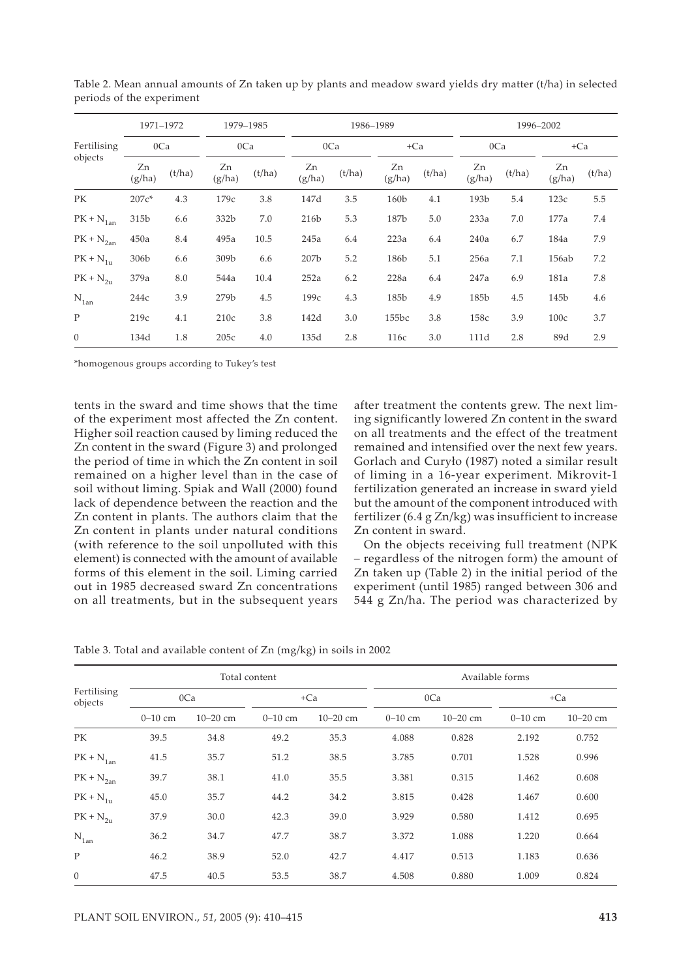|                                           | 1971-1972<br>0Ca |        | 1979-1985<br>0Ca |        | 1986-1989    |        |              |        | 1996-2002    |        |              |        |
|-------------------------------------------|------------------|--------|------------------|--------|--------------|--------|--------------|--------|--------------|--------|--------------|--------|
| Fertilising<br>objects                    |                  |        |                  |        | 0Ca          |        | $+Ca$        |        | 0Ca          |        | $+Ca$        |        |
|                                           | Zn<br>(g/ha)     | (t/ha) | Zn<br>(g/ha)     | (t/ha) | Zn<br>(g/ha) | (t/ha) | Zn<br>(g/ha) | (t/ha) | Zn<br>(g/ha) | (t/ha) | Zn<br>(g/ha) | (t/ha) |
| PK                                        | $207c*$          | 4.3    | 179c             | 3.8    | 147d         | 3.5    | 160b         | 4.1    | 193b         | 5.4    | 123c         | 5.5    |
| $\mathrm{PK} + \mathrm{N}_{1\mathrm{an}}$ | 315b             | 6.6    | 332b             | 7.0    | 216b         | 5.3    | 187b         | 5.0    | 233a         | 7.0    | 177a         | 7.4    |
| $PK + N_{2an}$                            | 450a             | 8.4    | 495a             | 10.5   | 245a         | 6.4    | 223a         | 6.4    | 240a         | 6.7    | 184a         | 7.9    |
| $PK + N_{1u}$                             | 306b             | 6.6    | 309b             | 6.6    | 207b         | 5.2    | 186b         | 5.1    | 256a         | 7.1    | 156ab        | 7.2    |
| $PK + N_{2u}$                             | 379a             | 8.0    | 544a             | 10.4   | 252a         | 6.2    | 228a         | 6.4    | 247a         | 6.9    | 181a         | 7.8    |
| $N_{1an}$                                 | 244c             | 3.9    | 279b             | 4.5    | 199с         | 4.3    | 185b         | 4.9    | 185b         | 4.5    | 145b         | 4.6    |
| P                                         | 219c             | 4.1    | 210c             | 3.8    | 142d         | 3.0    | 155bc        | 3.8    | 158c         | 3.9    | 100c         | 3.7    |
| $\theta$                                  | 134d             | 1.8    | 205c             | 4.0    | 135d         | 2.8    | 116c         | 3.0    | 111d         | 2.8    | 89d          | 2.9    |

Table 2. Mean annual amounts of Zn taken up by plants and meadow sward yields dry matter (t/ha) in selected periods of the experiment

\*homogenous groups according to Tukey's test

tents in the sward and time shows that the time of the experiment most affected the Zn content. Higher soil reaction caused by liming reduced the Zn content in the sward (Figure 3) and prolonged the period of time in which the Zn content in soil remained on a higher level than in the case of soil without liming. Spiak and Wall (2000) found lack of dependence between the reaction and the Zn content in plants. The authors claim that the Zn content in plants under natural conditions (with reference to the soil unpolluted with this element) is connected with the amount of available forms of this element in the soil. Liming carried out in 1985 decreased sward Zn concentrations on all treatments, but in the subsequent years after treatment the contents grew. The next liming significantly lowered Zn content in the sward on all treatments and the effect of the treatment remained and intensified over the next few years. Gorlach and Curyło (1987) noted a similar result of liming in a 16-year experiment. Mikrovit-1 fertilization generated an increase in sward yield but the amount of the component introduced with fertilizer (6.4 g Zn/kg) was insufficient to increase Zn content in sward.

On the objects receiving full treatment (NPK – regardless of the nitrogen form) the amount of Zn taken up (Table 2) in the initial period of the experiment (until 1985) ranged between 306 and 544 g Zn/ha. The period was characterized by

| Table 3. Total and available content of Zn (mg/kg) in soils in 2002 |  |  |  |
|---------------------------------------------------------------------|--|--|--|
|---------------------------------------------------------------------|--|--|--|

|                        |           |              | Total content |              | Available forms |              |           |              |  |
|------------------------|-----------|--------------|---------------|--------------|-----------------|--------------|-----------|--------------|--|
| Fertilising<br>objects |           | 0Ca          |               | $+Ca$        |                 | 0Ca          | $+Ca$     |              |  |
|                        | $0-10$ cm | $10 - 20$ cm | $0-10$ cm     | $10 - 20$ cm | $0-10$ cm       | $10 - 20$ cm | $0-10$ cm | $10 - 20$ cm |  |
| PK                     | 39.5      | 34.8         | 49.2          | 35.3         | 4.088           | 0.828        | 2.192     | 0.752        |  |
| $PK + N_{1an}$         | 41.5      | 35.7         | 51.2          | 38.5         | 3.785           | 0.701        | 1.528     | 0.996        |  |
| $PK + N_{2an}$         | 39.7      | 38.1         | 41.0          | 35.5         | 3.381           | 0.315        | 1.462     | 0.608        |  |
| $PK + N_{1u}$          | 45.0      | 35.7         | 44.2          | 34.2         | 3.815           | 0.428        | 1.467     | 0.600        |  |
| $PK + N_{2u}$          | 37.9      | 30.0         | 42.3          | 39.0         | 3.929           | 0.580        | 1.412     | 0.695        |  |
| $N_{1an}$              | 36.2      | 34.7         | 47.7          | 38.7         | 3.372           | 1.088        | 1.220     | 0.664        |  |
| P                      | 46.2      | 38.9         | 52.0          | 42.7         | 4.417           | 0.513        | 1.183     | 0.636        |  |
| $\mathbf{0}$           | 47.5      | 40.5         | 53.5          | 38.7         | 4.508           | 0.880        | 1.009     | 0.824        |  |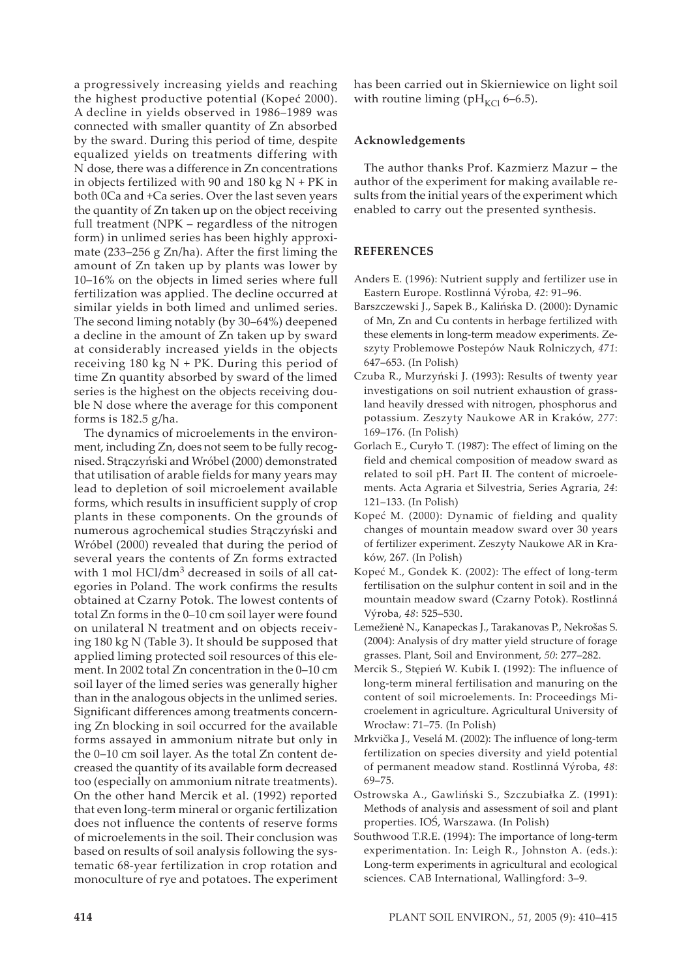a progressively increasing yields and reaching the highest productive potential (Kopeć 2000). A decline in yields observed in 1986–1989 was connected with smaller quantity of Zn absorbed by the sward. During this period of time, despite equalized yields on treatments differing with N dose, there was a difference in Zn concentrations in objects fertilized with 90 and 180 kg  $N$  + PK in both 0Ca and +Ca series. Over the last seven years the quantity of Zn taken up on the object receiving full treatment (NPK – regardless of the nitrogen form) in unlimed series has been highly approximate (233–256 g Zn/ha). After the first liming the amount of Zn taken up by plants was lower by 10–16% on the objects in limed series where full fertilization was applied. The decline occurred at similar yields in both limed and unlimed series. The second liming notably (by 30–64%) deepened a decline in the amount of Zn taken up by sward at considerably increased yields in the objects receiving 180 kg  $N$  + PK. During this period of time Zn quantity absorbed by sward of the limed series is the highest on the objects receiving double N dose where the average for this component forms is 182.5 g/ha.

The dynamics of microelements in the environment, including Zn, does not seem to be fully recognised. Strączyński and Wróbel (2000) demonstrated that utilisation of arable fields for many years may lead to depletion of soil microelement available forms, which results in insufficient supply of crop plants in these components. On the grounds of numerous agrochemical studies Strączyński and Wróbel (2000) revealed that during the period of several years the contents of Zn forms extracted with 1 mol HCl/dm<sup>3</sup> decreased in soils of all categories in Poland. The work confirms the results obtained at Czarny Potok. The lowest contents of total Zn forms in the 0–10 cm soil layer were found on unilateral N treatment and on objects receiving 180 kg N (Table 3). It should be supposed that applied liming protected soil resources of this element. In 2002 total Zn concentration in the 0–10 cm soil layer of the limed series was generally higher than in the analogous objects in the unlimed series. Significant differences among treatments concerning Zn blocking in soil occurred for the available forms assayed in ammonium nitrate but only in the 0–10 cm soil layer. As the total Zn content decreased the quantity of its available form decreased too (especially on ammonium nitrate treatments). On the other hand Mercik et al. (1992) reported that even long-term mineral or organic fertilization does not influence the contents of reserve forms of microelements in the soil. Their conclusion was based on results of soil analysis following the systematic 68-year fertilization in crop rotation and monoculture of rye and potatoes. The experiment has been carried out in Skierniewice on light soil with routine liming ( $pH_{\text{KCl}}$  6–6.5).

### **Acknowledgements**

The author thanks Prof. Kazmierz Mazur – the author of the experiment for making available results from the initial years of the experiment which enabled to carry out the presented synthesis.

## **REFERENCES**

- Anders E. (1996): Nutrient supply and fertilizer use in Eastern Europe. Rostlinná Výroba, *42*: 91–96.
- Barszczewski J., Sapek B., Kalińska D. (2000): Dynamic of Mn, Zn and Cu contents in herbage fertilized with these elements in long-term meadow experiments. Zeszyty Problemowe Postepów Nauk Rolniczych, *471*: 647–653. (In Polish)
- Czuba R., Murzyński J. (1993): Results of twenty year investigations on soil nutrient exhaustion of grassland heavily dressed with nitrogen, phosphorus and potassium. Zeszyty Naukowe AR in Kraków, *277*: 169–176. (In Polish)
- Gorlach E., Curyło T. (1987): The effect of liming on the field and chemical composition of meadow sward as related to soil pH. Part II. The content of microelements. Acta Agraria et Silvestria, Series Agraria, *24*: 121–133. (In Polish)
- Kopeć M. (2000): Dynamic of fielding and quality changes of mountain meadow sward over 30 years of fertilizer experiment. Zeszyty Naukowe AR in Kraków, 267. (In Polish)
- Kopeć M., Gondek K. (2002): The effect of long-term fertilisation on the sulphur content in soil and in the mountain meadow sward (Czarny Potok). Rostlinná Výroba, *48*: 525–530.
- Lemežienė N., Kanapeckas J., Tarakanovas P., Nekrošas S. (2004): Analysis of dry matter yield structure of forage grasses. Plant, Soil and Environment, *50*: 277–282.
- Mercik S., Stępień W. Kubik I. (1992): The influence of long-term mineral fertilisation and manuring on the content of soil microelements. In: Proceedings Microelement in agriculture. Agricultural University of Wrocław: 71–75. (In Polish)
- Mrkvička J., Veselá M. (2002): The influence of long-term fertilization on species diversity and yield potential of permanent meadow stand. Rostlinná Výroba, *48*: 69–75.
- Ostrowska A., Gawliński S., Szczubiałka Z. (1991): Methods of analysis and assessment of soil and plant properties. IOŚ, Warszawa. (In Polish)
- Southwood T.R.E. (1994): The importance of long-term experimentation. In: Leigh R., Johnston A. (eds.): Long-term experiments in agricultural and ecological sciences. CAB International, Wallingford: 3–9.